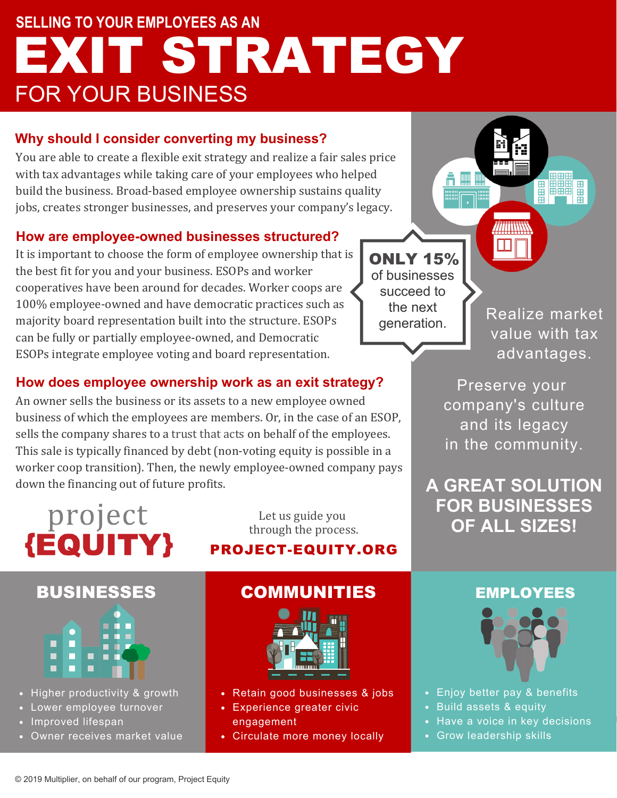## **SELLING TO YOUR EMPLOYEES AS AN** FOR YOUR BUSINESS EXIT STRATEGY

### **Why should I consider converting my business?**

You are able to create a flexible exit strategy and realize a fair sales price with tax advantages while taking care of your employees who helped build the business. Broad-based employee ownership sustains quality jobs, creates stronger businesses, and preserves your company's legacy.

### **How are employee-owned businesses structured?**

It is important to choose the form of employee ownership that is the best fit for you and your business. ESOPs and worker cooperatives have been around for decades. Worker coops are 100% employee-owned and have democratic practices such as majority board representation built into the structure. ESOPs can be fully or partially employee-owned, and Democratic ESOPs integrate employee voting and board representation.

### **How does employee ownership work as an exit strategy?**

An owner sells the business or its assets to a new employee owned business of which the employees are members. Or, in the case of an ESOP, sells the company shares to a trust that acts on behalf of the employees. This sale is typically financed by debt (non-voting equity is possible in a worker coop transition). Then, the newly employee-owned company pays down the financing out of future profits.

# project<br>{EQUITY}

Let us guide you through the process.

### PROJECT-EQUITY.ORG



- Higher productivity & growth
- Lower employee turnover
- Improved lifespan
- Owner receives market value

### BUSINESSES COMMUNITIES EMPLOYEES



- Retain good businesses & jobs
- Experience greater civic engagement
- Circulate more money locally

of businesses succeed to the next generation. ONLY 15%

Realize market value with tax advantages.

**EBB FREE** 

田田田

Preserve your company's culture and its legacy in the community.

**A GREAT SOLUTION FOR BUSINESSES OF ALL SIZES!**



- **Fig. •** Enjoy better pay & benefits
	- **Build assets & equity** and cut down

are thrown into the ocean

- Have a voice in key decisions
- Grow leadership skills